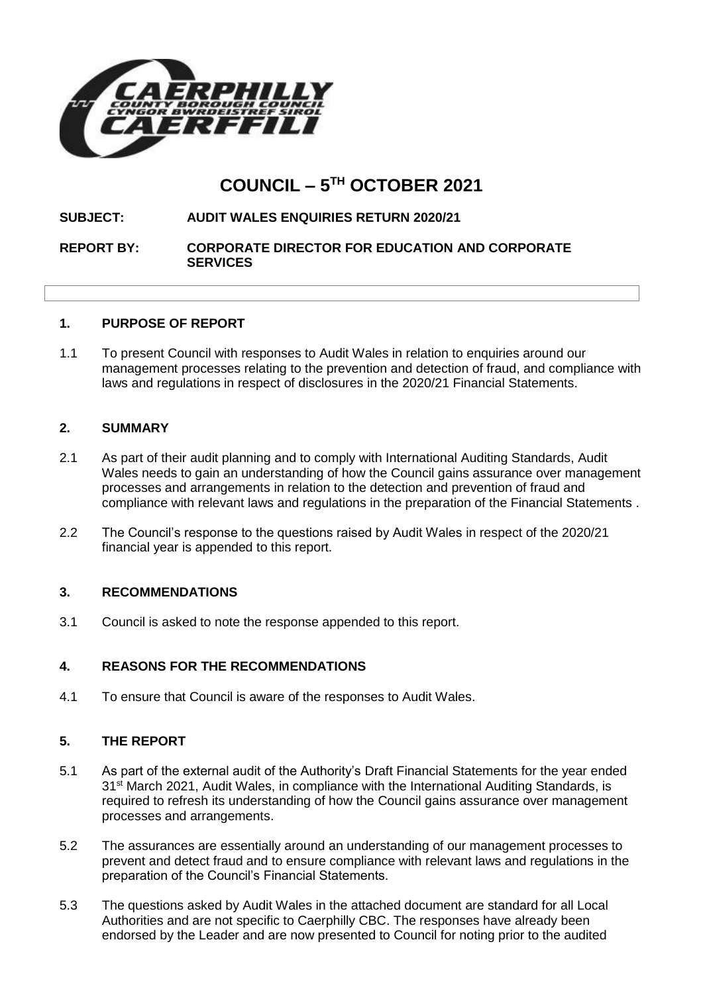

# **COUNCIL – 5 TH OCTOBER 2021**

## **SUBJECT: AUDIT WALES ENQUIRIES RETURN 2020/21**

**REPORT BY: CORPORATE DIRECTOR FOR EDUCATION AND CORPORATE SERVICES**

## **1. PURPOSE OF REPORT**

1.1 To present Council with responses to Audit Wales in relation to enquiries around our management processes relating to the prevention and detection of fraud, and compliance with laws and regulations in respect of disclosures in the 2020/21 Financial Statements.

#### **2. SUMMARY**

- 2.1 As part of their audit planning and to comply with International Auditing Standards, Audit Wales needs to gain an understanding of how the Council gains assurance over management processes and arrangements in relation to the detection and prevention of fraud and compliance with relevant laws and regulations in the preparation of the Financial Statements .
- 2.2 The Council's response to the questions raised by Audit Wales in respect of the 2020/21 financial year is appended to this report.

## **3. RECOMMENDATIONS**

3.1 Council is asked to note the response appended to this report.

## **4. REASONS FOR THE RECOMMENDATIONS**

4.1 To ensure that Council is aware of the responses to Audit Wales.

## **5. THE REPORT**

- 5.1 As part of the external audit of the Authority's Draft Financial Statements for the year ended 31<sup>st</sup> March 2021, Audit Wales, in compliance with the International Auditing Standards, is required to refresh its understanding of how the Council gains assurance over management processes and arrangements.
- 5.2 The assurances are essentially around an understanding of our management processes to prevent and detect fraud and to ensure compliance with relevant laws and regulations in the preparation of the Council's Financial Statements.
- 5.3 The questions asked by Audit Wales in the attached document are standard for all Local Authorities and are not specific to Caerphilly CBC. The responses have already been endorsed by the Leader and are now presented to Council for noting prior to the audited